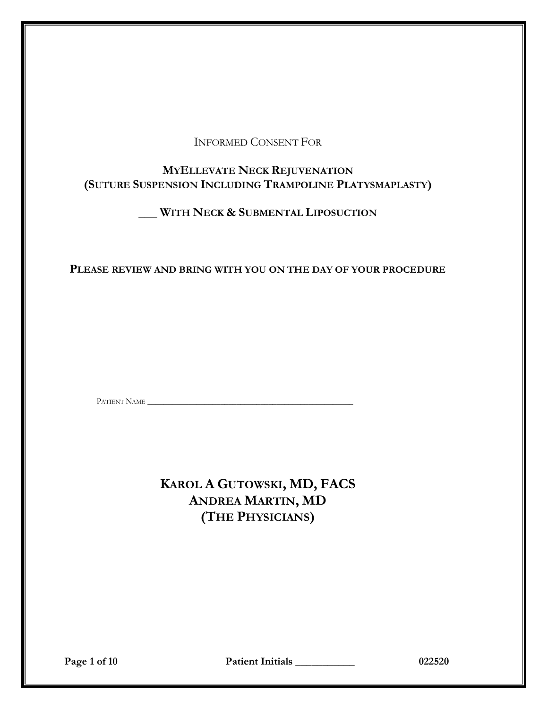# INFORMED CONSENT FOR

# **MYELLEVATE NECK REJUVENATION (SUTURE SUSPENSION INCLUDING TRAMPOLINE PLATYSMAPLASTY)**

# **\_\_\_ WITH NECK & SUBMENTAL LIPOSUCTION**

# **PLEASE REVIEW AND BRING WITH YOU ON THE DAY OF YOUR PROCEDURE**

PATIENT NAME \_\_\_\_\_\_\_\_\_\_\_\_\_\_\_\_\_\_\_\_\_\_\_\_\_\_\_\_\_\_\_\_\_\_\_\_\_\_\_\_\_\_\_\_\_\_\_\_\_\_\_

**KAROL A GUTOWSKI, MD, FACS ANDREA MARTIN, MD (THE PHYSICIANS)**

**Page 1 of 10 Patient Initials \_\_\_\_\_\_\_\_\_\_\_ 022520**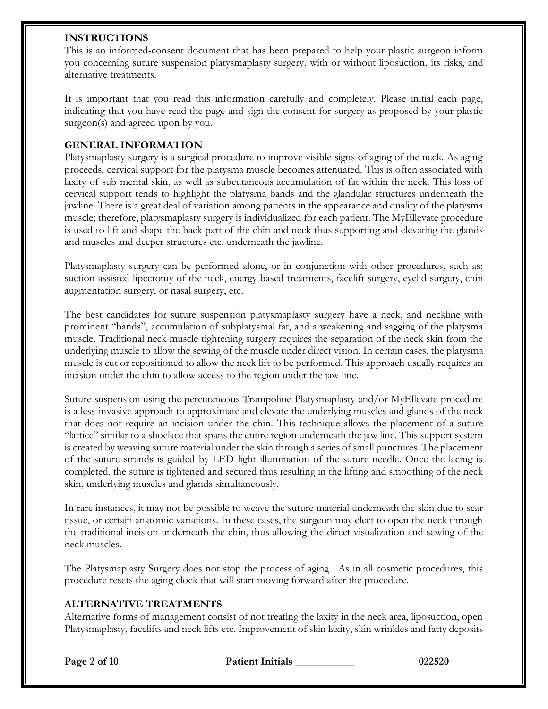### **INSTRUCTIONS**

This is an informed-consent document that has been prepared to help your plastic surgeon inform you concerning suture suspension platysmaplasty surgery, with or without liposuction, its risks, and alternative treatments.

It is important that you read this information carefully and completely. Please initial each page, indicating that you have read the page and sign the consent for surgery as proposed by your plastic surgeon(s) and agreed upon by you.

### **GENERAL INFORMATION**

Platysmaplasty surgery is a surgical procedure to improve visible signs of aging of the neck. As aging proceeds, cervical support for the platysma muscle becomes attenuated. This is often associated with laxity of sub mental skin, as well as subcutaneous accumulation of fat within the neck. This loss of cervical support tends to highlight the platysma bands and the glandular structures underneath the jawline. There is a great deal of variation among patients in the appearance and quality of the platysma muscle; therefore, platysmaplasty surgery is individualized for each patient. The MyEllevate procedure is used to lift and shape the back part of the chin and neck thus supporting and elevating the glands and muscles and deeper structures etc. underneath the jawline.

Platysmaplasty surgery can be performed alone, or in conjunction with other procedures, such as: suction-assisted lipectomy of the neck, energy-based treatments, facelift surgery, eyelid surgery, chin augmentation surgery, or nasal surgery, etc.

The best candidates for suture suspension platysmaplasty surgery have a neck, and neckline with prominent "bands", accumulation of subplatysmal fat, and a weakening and sagging of the platysma muscle. Traditional neck muscle tightening surgery requires the separation of the neck skin from the underlying muscle to allow the sewing of the muscle under direct vision. In certain cases, the platysma muscle is cut or repositioned to allow the neck lift to be performed. This approach usually requires an incision under the chin to allow access to the region under the jaw line.

Suture suspension using the percutaneous Trampoline Platysmaplasty and/or MyEllevate procedure is a less-invasive approach to approximate and elevate the underlying muscles and glands of the neck that does not require an incision under the chin. This technique allows the placement of a suture "lattice" similar to a shoelace that spans the entire region underneath the jaw line. This support system is created by weaving suture material under the skin through a series of small punctures. The placement of the suture strands is guided by LED light illumination of the suture needle. Once the lacing is completed, the suture is tightened and secured thus resulting in the lifting and smoothing of the neck skin, underlying muscles and glands simultaneously.

In rare instances, it may not be possible to weave the suture material underneath the skin due to scar tissue, or certain anatomic variations. In these cases, the surgeon may elect to open the neck through the traditional incision underneath the chin, thus allowing the direct visualization and sewing of the neck muscles.

The Platysmaplasty Surgery does not stop the process of aging. As in all cosmetic procedures, this procedure resets the aging clock that will start moving forward after the procedure.

### **ALTERNATIVE TREATMENTS**

Alternative forms of management consist of not treating the laxity in the neck area, liposuction, open Platysmaplasty, facelifts and neck lifts etc. Improvement of skin laxity, skin wrinkles and fatty deposits

**Page 2 of 10 Patient Initials \_\_\_\_\_\_\_\_\_\_\_ 022520**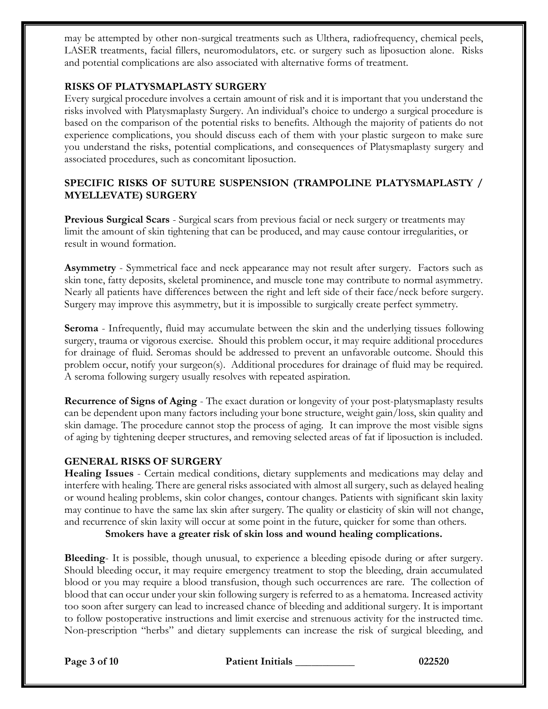may be attempted by other non-surgical treatments such as Ulthera, radiofrequency, chemical peels, LASER treatments, facial fillers, neuromodulators, etc. or surgery such as liposuction alone. Risks and potential complications are also associated with alternative forms of treatment.

## **RISKS OF PLATYSMAPLASTY SURGERY**

Every surgical procedure involves a certain amount of risk and it is important that you understand the risks involved with Platysmaplasty Surgery. An individual's choice to undergo a surgical procedure is based on the comparison of the potential risks to benefits. Although the majority of patients do not experience complications, you should discuss each of them with your plastic surgeon to make sure you understand the risks, potential complications, and consequences of Platysmaplasty surgery and associated procedures, such as concomitant liposuction.

## **SPECIFIC RISKS OF SUTURE SUSPENSION (TRAMPOLINE PLATYSMAPLASTY / MYELLEVATE) SURGERY**

**Previous Surgical Scars** - Surgical scars from previous facial or neck surgery or treatments may limit the amount of skin tightening that can be produced, and may cause contour irregularities, or result in wound formation.

**Asymmetry** - Symmetrical face and neck appearance may not result after surgery. Factors such as skin tone, fatty deposits, skeletal prominence, and muscle tone may contribute to normal asymmetry. Nearly all patients have differences between the right and left side of their face/neck before surgery. Surgery may improve this asymmetry, but it is impossible to surgically create perfect symmetry.

**Seroma** - Infrequently, fluid may accumulate between the skin and the underlying tissues following surgery, trauma or vigorous exercise. Should this problem occur, it may require additional procedures for drainage of fluid. Seromas should be addressed to prevent an unfavorable outcome. Should this problem occur, notify your surgeon(s). Additional procedures for drainage of fluid may be required. A seroma following surgery usually resolves with repeated aspiration.

**Recurrence of Signs of Aging** - The exact duration or longevity of your post-platysmaplasty results can be dependent upon many factors including your bone structure, weight gain/loss, skin quality and skin damage. The procedure cannot stop the process of aging. It can improve the most visible signs of aging by tightening deeper structures, and removing selected areas of fat if liposuction is included.

### **GENERAL RISKS OF SURGERY**

**Healing Issues** - Certain medical conditions, dietary supplements and medications may delay and interfere with healing. There are general risks associated with almost all surgery,such as delayed healing or wound healing problems, skin color changes, contour changes. Patients with significant skin laxity may continue to have the same lax skin after surgery. The quality or elasticity of skin will not change, and recurrence of skin laxity will occur at some point in the future, quicker for some than others.

**Smokers have a greater risk of skin loss and wound healing complications.**

**Bleeding**- It is possible, though unusual, to experience a bleeding episode during or after surgery. Should bleeding occur, it may require emergency treatment to stop the bleeding, drain accumulated blood or you may require a blood transfusion, though such occurrences are rare. The collection of blood that can occur under your skin following surgery is referred to as a hematoma. Increased activity too soon after surgery can lead to increased chance of bleeding and additional surgery. It is important to follow postoperative instructions and limit exercise and strenuous activity for the instructed time. Non-prescription "herbs" and dietary supplements can increase the risk of surgical bleeding, and

**Page 3 of 10 Patient Initials \_\_\_\_\_\_\_\_\_\_\_ 022520**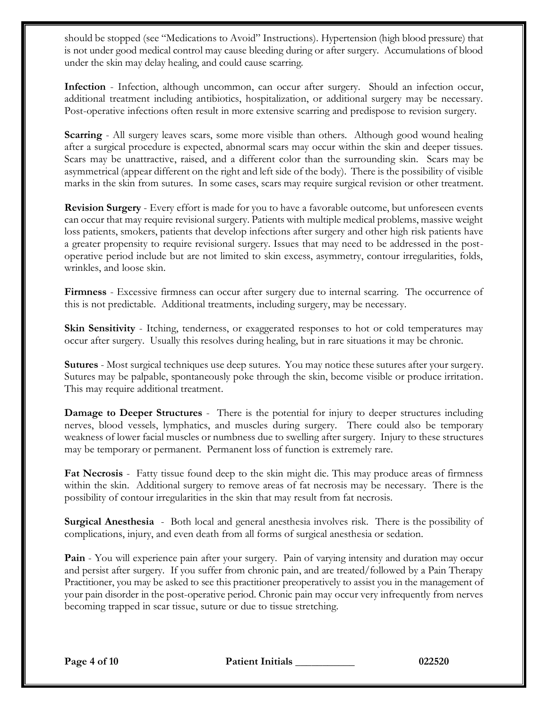should be stopped (see "Medications to Avoid" Instructions). Hypertension (high blood pressure) that is not under good medical control may cause bleeding during or after surgery. Accumulations of blood under the skin may delay healing, and could cause scarring.

**Infection** - Infection, although uncommon, can occur after surgery. Should an infection occur, additional treatment including antibiotics, hospitalization, or additional surgery may be necessary. Post-operative infections often result in more extensive scarring and predispose to revision surgery.

**Scarring** - All surgery leaves scars, some more visible than others. Although good wound healing after a surgical procedure is expected, abnormal scars may occur within the skin and deeper tissues. Scars may be unattractive, raised, and a different color than the surrounding skin. Scars may be asymmetrical (appear different on the right and left side of the body). There is the possibility of visible marks in the skin from sutures. In some cases, scars may require surgical revision or other treatment.

**Revision Surgery** - Every effort is made for you to have a favorable outcome, but unforeseen events can occur that may require revisional surgery. Patients with multiple medical problems, massive weight loss patients, smokers, patients that develop infections after surgery and other high risk patients have a greater propensity to require revisional surgery. Issues that may need to be addressed in the postoperative period include but are not limited to skin excess, asymmetry, contour irregularities, folds, wrinkles, and loose skin.

**Firmness** - Excessive firmness can occur after surgery due to internal scarring. The occurrence of this is not predictable. Additional treatments, including surgery, may be necessary.

**Skin Sensitivity** - Itching, tenderness, or exaggerated responses to hot or cold temperatures may occur after surgery. Usually this resolves during healing, but in rare situations it may be chronic.

**Sutures** - Most surgical techniques use deep sutures. You may notice these sutures after your surgery. Sutures may be palpable, spontaneously poke through the skin, become visible or produce irritation. This may require additional treatment.

**Damage to Deeper Structures** - There is the potential for injury to deeper structures including nerves, blood vessels, lymphatics, and muscles during surgery. There could also be temporary weakness of lower facial muscles or numbness due to swelling after surgery. Injury to these structures may be temporary or permanent. Permanent loss of function is extremely rare.

**Fat Necrosis** - Fatty tissue found deep to the skin might die. This may produce areas of firmness within the skin. Additional surgery to remove areas of fat necrosis may be necessary. There is the possibility of contour irregularities in the skin that may result from fat necrosis.

**Surgical Anesthesia** - Both local and general anesthesia involves risk. There is the possibility of complications, injury, and even death from all forms of surgical anesthesia or sedation.

**Pain** - You will experience pain after your surgery. Pain of varying intensity and duration may occur and persist after surgery. If you suffer from chronic pain, and are treated/followed by a Pain Therapy Practitioner, you may be asked to see this practitioner preoperatively to assist you in the management of your pain disorder in the post-operative period. Chronic pain may occur very infrequently from nerves becoming trapped in scar tissue, suture or due to tissue stretching.

**Page 4 of 10 Patient Initials \_\_\_\_\_\_\_\_\_\_\_ 022520**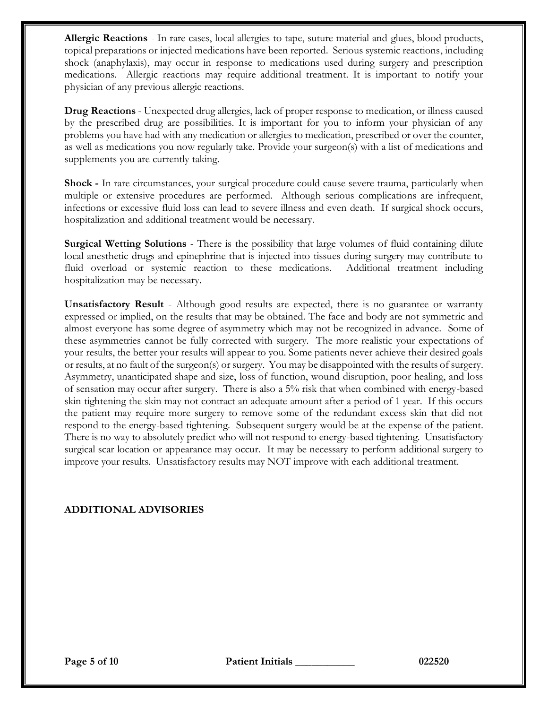**Allergic Reactions** - In rare cases, local allergies to tape, suture material and glues, blood products, topical preparations or injected medications have been reported. Serious systemic reactions, including shock (anaphylaxis), may occur in response to medications used during surgery and prescription medications. Allergic reactions may require additional treatment. It is important to notify your physician of any previous allergic reactions.

**Drug Reactions** - Unexpected drug allergies, lack of proper response to medication, or illness caused by the prescribed drug are possibilities. It is important for you to inform your physician of any problems you have had with any medication or allergies to medication, prescribed or over the counter, as well as medications you now regularly take. Provide your surgeon(s) with a list of medications and supplements you are currently taking.

**Shock -** In rare circumstances, your surgical procedure could cause severe trauma, particularly when multiple or extensive procedures are performed. Although serious complications are infrequent, infections or excessive fluid loss can lead to severe illness and even death. If surgical shock occurs, hospitalization and additional treatment would be necessary.

**Surgical Wetting Solutions** - There is the possibility that large volumes of fluid containing dilute local anesthetic drugs and epinephrine that is injected into tissues during surgery may contribute to fluid overload or systemic reaction to these medications. Additional treatment including hospitalization may be necessary.

**Unsatisfactory Result** - Although good results are expected, there is no guarantee or warranty expressed or implied, on the results that may be obtained. The face and body are not symmetric and almost everyone has some degree of asymmetry which may not be recognized in advance. Some of these asymmetries cannot be fully corrected with surgery. The more realistic your expectations of your results, the better your results will appear to you. Some patients never achieve their desired goals or results, at no fault of the surgeon(s) or surgery. You may be disappointed with the results of surgery. Asymmetry, unanticipated shape and size, loss of function, wound disruption, poor healing, and loss of sensation may occur after surgery. There is also a 5% risk that when combined with energy-based skin tightening the skin may not contract an adequate amount after a period of 1 year. If this occurs the patient may require more surgery to remove some of the redundant excess skin that did not respond to the energy-based tightening. Subsequent surgery would be at the expense of the patient. There is no way to absolutely predict who will not respond to energy-based tightening. Unsatisfactory surgical scar location or appearance may occur. It may be necessary to perform additional surgery to improve your results. Unsatisfactory results may NOT improve with each additional treatment.

# **ADDITIONAL ADVISORIES**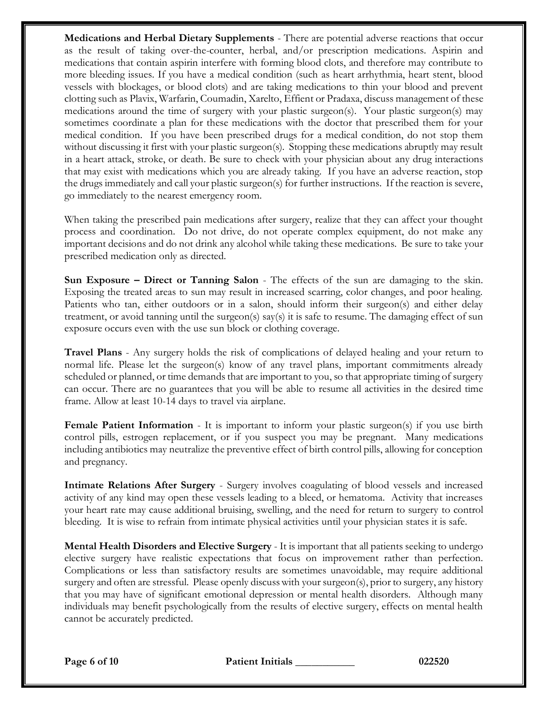**Medications and Herbal Dietary Supplements** - There are potential adverse reactions that occur as the result of taking over-the-counter, herbal, and/or prescription medications. Aspirin and medications that contain aspirin interfere with forming blood clots, and therefore may contribute to more bleeding issues. If you have a medical condition (such as heart arrhythmia, heart stent, blood vessels with blockages, or blood clots) and are taking medications to thin your blood and prevent clotting such as Plavix, Warfarin, Coumadin, Xarelto, Effient or Pradaxa, discuss management of these medications around the time of surgery with your plastic surgeon(s). Your plastic surgeon(s) may sometimes coordinate a plan for these medications with the doctor that prescribed them for your medical condition. If you have been prescribed drugs for a medical condition, do not stop them without discussing it first with your plastic surgeon(s). Stopping these medications abruptly may result in a heart attack, stroke, or death. Be sure to check with your physician about any drug interactions that may exist with medications which you are already taking. If you have an adverse reaction, stop the drugs immediately and call your plastic surgeon(s) for further instructions. If the reaction is severe, go immediately to the nearest emergency room.

When taking the prescribed pain medications after surgery, realize that they can affect your thought process and coordination. Do not drive, do not operate complex equipment, do not make any important decisions and do not drink any alcohol while taking these medications. Be sure to take your prescribed medication only as directed.

**Sun Exposure – Direct or Tanning Salon** - The effects of the sun are damaging to the skin. Exposing the treated areas to sun may result in increased scarring, color changes, and poor healing. Patients who tan, either outdoors or in a salon, should inform their surgeon(s) and either delay treatment, or avoid tanning until the surgeon(s) say(s) it is safe to resume. The damaging effect of sun exposure occurs even with the use sun block or clothing coverage.

**Travel Plans** - Any surgery holds the risk of complications of delayed healing and your return to normal life. Please let the surgeon(s) know of any travel plans, important commitments already scheduled or planned, or time demands that are important to you, so that appropriate timing of surgery can occur. There are no guarantees that you will be able to resume all activities in the desired time frame. Allow at least 10-14 days to travel via airplane.

**Female Patient Information** - It is important to inform your plastic surgeon(s) if you use birth control pills, estrogen replacement, or if you suspect you may be pregnant. Many medications including antibiotics may neutralize the preventive effect of birth control pills, allowing for conception and pregnancy.

**Intimate Relations After Surgery** - Surgery involves coagulating of blood vessels and increased activity of any kind may open these vessels leading to a bleed, or hematoma. Activity that increases your heart rate may cause additional bruising, swelling, and the need for return to surgery to control bleeding. It is wise to refrain from intimate physical activities until your physician states it is safe.

**Mental Health Disorders and Elective Surgery** - It is important that all patients seeking to undergo elective surgery have realistic expectations that focus on improvement rather than perfection. Complications or less than satisfactory results are sometimes unavoidable, may require additional surgery and often are stressful. Please openly discuss with your surgeon(s), prior to surgery, any history that you may have of significant emotional depression or mental health disorders. Although many individuals may benefit psychologically from the results of elective surgery, effects on mental health cannot be accurately predicted.

**Page 6 of 10 Patient Initials \_\_\_\_\_\_\_\_\_\_\_ 022520**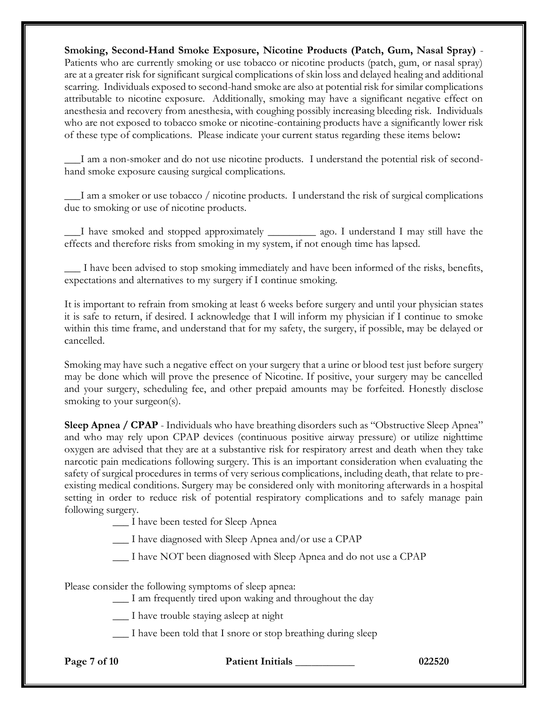**Smoking, Second-Hand Smoke Exposure, Nicotine Products (Patch, Gum, Nasal Spray)** - Patients who are currently smoking or use tobacco or nicotine products (patch, gum, or nasal spray) are at a greater risk for significant surgical complications of skin loss and delayed healing and additional scarring. Individuals exposed to second-hand smoke are also at potential risk for similar complications attributable to nicotine exposure. Additionally, smoking may have a significant negative effect on anesthesia and recovery from anesthesia, with coughing possibly increasing bleeding risk. Individuals who are not exposed to tobacco smoke or nicotine-containing products have a significantly lower risk of these type of complications. Please indicate your current status regarding these items below**:**

**\_\_\_**I am a non-smoker and do not use nicotine products. I understand the potential risk of secondhand smoke exposure causing surgical complications.

**\_\_\_**I am a smoker or use tobacco / nicotine products. I understand the risk of surgical complications due to smoking or use of nicotine products.

**\_\_\_**I have smoked and stopped approximately \_\_\_\_\_\_\_\_\_ ago. I understand I may still have the effects and therefore risks from smoking in my system, if not enough time has lapsed.

\_\_\_ I have been advised to stop smoking immediately and have been informed of the risks, benefits, expectations and alternatives to my surgery if I continue smoking.

It is important to refrain from smoking at least 6 weeks before surgery and until your physician states it is safe to return, if desired. I acknowledge that I will inform my physician if I continue to smoke within this time frame, and understand that for my safety, the surgery, if possible, may be delayed or cancelled.

Smoking may have such a negative effect on your surgery that a urine or blood test just before surgery may be done which will prove the presence of Nicotine. If positive, your surgery may be cancelled and your surgery, scheduling fee, and other prepaid amounts may be forfeited. Honestly disclose smoking to your surgeon(s).

**Sleep Apnea / CPAP** - Individuals who have breathing disorders such as "Obstructive Sleep Apnea" and who may rely upon CPAP devices (continuous positive airway pressure) or utilize nighttime oxygen are advised that they are at a substantive risk for respiratory arrest and death when they take narcotic pain medications following surgery. This is an important consideration when evaluating the safety of surgical procedures in terms of very serious complications, including death, that relate to preexisting medical conditions. Surgery may be considered only with monitoring afterwards in a hospital setting in order to reduce risk of potential respiratory complications and to safely manage pain following surgery.

\_\_\_ I have been tested for Sleep Apnea

\_\_\_ I have diagnosed with Sleep Apnea and/or use a CPAP

\_\_\_ I have NOT been diagnosed with Sleep Apnea and do not use a CPAP

Please consider the following symptoms of sleep apnea:

- \_\_\_ I am frequently tired upon waking and throughout the day
- \_\_\_ I have trouble staying asleep at night
- \_\_\_ I have been told that I snore or stop breathing during sleep

**Page 7 of 10 Patient Initials \_\_\_\_\_\_\_\_\_\_\_ 022520**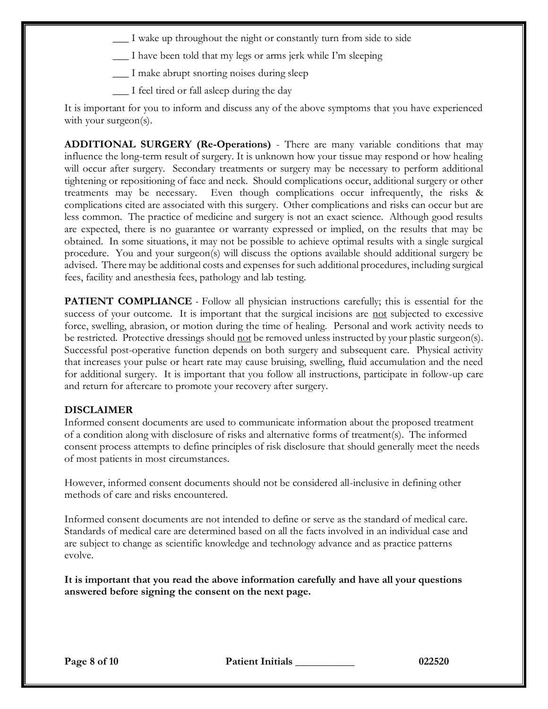- \_\_\_ I wake up throughout the night or constantly turn from side to side
- \_\_\_ I have been told that my legs or arms jerk while I'm sleeping
- \_\_\_ I make abrupt snorting noises during sleep
- \_\_\_ I feel tired or fall asleep during the day

It is important for you to inform and discuss any of the above symptoms that you have experienced with your surgeon(s).

**ADDITIONAL SURGERY (Re-Operations)** - There are many variable conditions that may influence the long-term result of surgery. It is unknown how your tissue may respond or how healing will occur after surgery. Secondary treatments or surgery may be necessary to perform additional tightening or repositioning of face and neck. Should complications occur, additional surgery or other treatments may be necessary. Even though complications occur infrequently, the risks & complications cited are associated with this surgery. Other complications and risks can occur but are less common. The practice of medicine and surgery is not an exact science. Although good results are expected, there is no guarantee or warranty expressed or implied, on the results that may be obtained. In some situations, it may not be possible to achieve optimal results with a single surgical procedure. You and your surgeon(s) will discuss the options available should additional surgery be advised. There may be additional costs and expenses for such additional procedures, including surgical fees, facility and anesthesia fees, pathology and lab testing.

**PATIENT COMPLIANCE** - Follow all physician instructions carefully; this is essential for the success of your outcome. It is important that the surgical incisions are not subjected to excessive force, swelling, abrasion, or motion during the time of healing. Personal and work activity needs to be restricted. Protective dressings should not be removed unless instructed by your plastic surgeon(s). Successful post-operative function depends on both surgery and subsequent care. Physical activity that increases your pulse or heart rate may cause bruising, swelling, fluid accumulation and the need for additional surgery. It is important that you follow all instructions, participate in follow-up care and return for aftercare to promote your recovery after surgery.

### **DISCLAIMER**

Informed consent documents are used to communicate information about the proposed treatment of a condition along with disclosure of risks and alternative forms of treatment(s). The informed consent process attempts to define principles of risk disclosure that should generally meet the needs of most patients in most circumstances.

However, informed consent documents should not be considered all-inclusive in defining other methods of care and risks encountered.

Informed consent documents are not intended to define or serve as the standard of medical care. Standards of medical care are determined based on all the facts involved in an individual case and are subject to change as scientific knowledge and technology advance and as practice patterns evolve.

**It is important that you read the above information carefully and have all your questions answered before signing the consent on the next page.**

**Page 8 of 10 Patient Initials \_\_\_\_\_\_\_\_\_\_\_ 022520**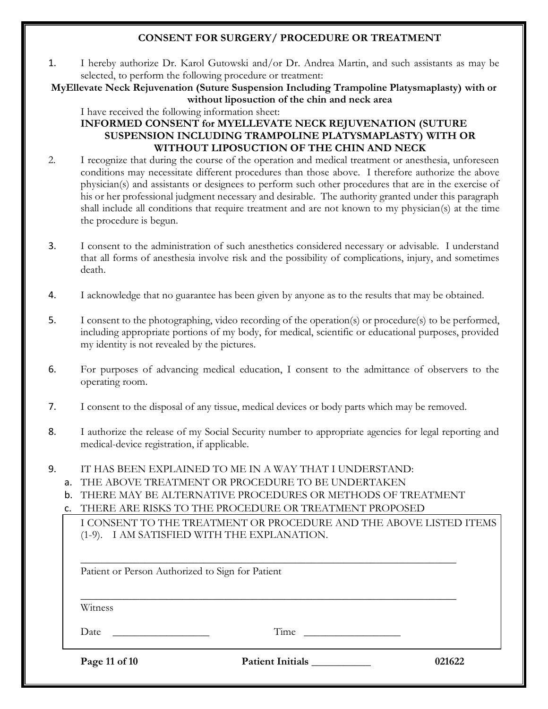# **CONSENT FOR SURGERY/ PROCEDURE OR TREATMENT**

1. I hereby authorize Dr. Karol Gutowski and/or Dr. Andrea Martin, and such assistants as may be selected, to perform the following procedure or treatment:

**MyEllevate Neck Rejuvenation (Suture Suspension Including Trampoline Platysmaplasty) with or without liposuction of the chin and neck area**

I have received the following information sheet:

# **INFORMED CONSENT for MYELLEVATE NECK REJUVENATION (SUTURE SUSPENSION INCLUDING TRAMPOLINE PLATYSMAPLASTY) WITH OR WITHOUT LIPOSUCTION OF THE CHIN AND NECK**

- 2. I recognize that during the course of the operation and medical treatment or anesthesia, unforeseen conditions may necessitate different procedures than those above. I therefore authorize the above physician(s) and assistants or designees to perform such other procedures that are in the exercise of his or her professional judgment necessary and desirable. The authority granted under this paragraph shall include all conditions that require treatment and are not known to my physician(s) at the time the procedure is begun.
- 3. I consent to the administration of such anesthetics considered necessary or advisable. I understand that all forms of anesthesia involve risk and the possibility of complications, injury, and sometimes death.
- 4. I acknowledge that no guarantee has been given by anyone as to the results that may be obtained.
- 5. I consent to the photographing, video recording of the operation(s) or procedure(s) to be performed, including appropriate portions of my body, for medical, scientific or educational purposes, provided my identity is not revealed by the pictures.
- 6. For purposes of advancing medical education, I consent to the admittance of observers to the operating room.
- 7. I consent to the disposal of any tissue, medical devices or body parts which may be removed.
- 8. I authorize the release of my Social Security number to appropriate agencies for legal reporting and medical-device registration, if applicable.
- 9. IT HAS BEEN EXPLAINED TO ME IN A WAY THAT I UNDERSTAND:
	- a. THE ABOVE TREATMENT OR PROCEDURE TO BE UNDERTAKEN
	- b. THERE MAY BE ALTERNATIVE PROCEDURES OR METHODS OF TREATMENT

c. THERE ARE RISKS TO THE PROCEDURE OR TREATMENT PROPOSED

I CONSENT TO THE TREATMENT OR PROCEDURE AND THE ABOVE LISTED ITEMS (1-9). I AM SATISFIED WITH THE EXPLANATION.

| Patient or Person Authorized to Sign for Patient |                         |        |
|--------------------------------------------------|-------------------------|--------|
| Witness                                          |                         |        |
| Date                                             | Time                    |        |
| Page 11 of 10                                    | <b>Patient Initials</b> | 021622 |